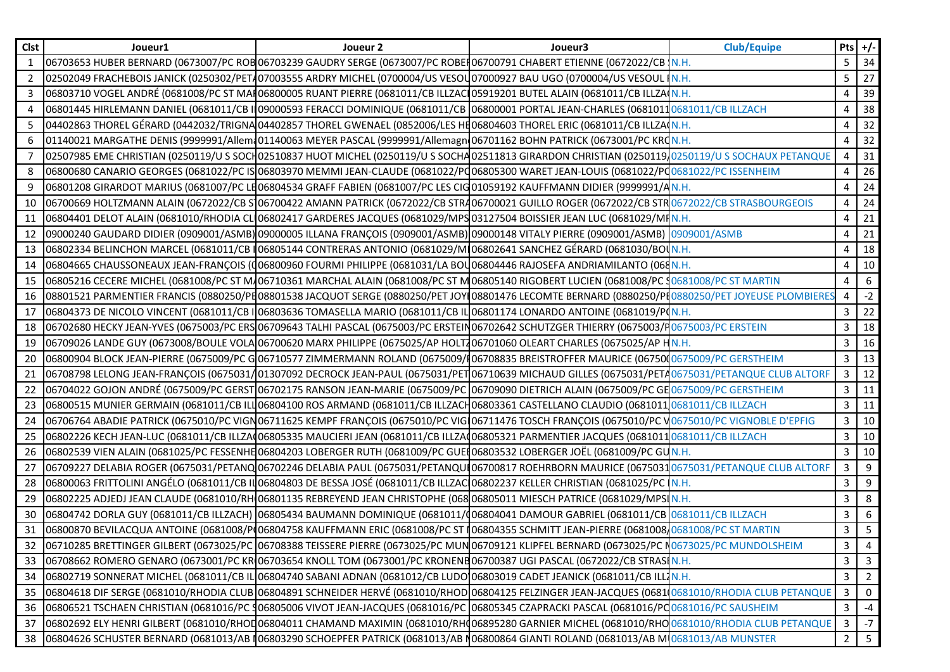| <b>Clst</b> | Joueur1 | Joueur 2                                                                                                                                           | Joueur3 | <b>Club/Equipe</b> | Pts $+/-$      |                 |
|-------------|---------|----------------------------------------------------------------------------------------------------------------------------------------------------|---------|--------------------|----------------|-----------------|
| 1           |         | 06703653 HUBER BERNARD (0673007/PC ROB 06703239 GAUDRY SERGE (0673007/PC ROBER 06700791 CHABERT ETIENNE (0672022/CB N.H.                           |         |                    | 5              | 34              |
| 2           |         | 02502049 FRACHEBOIS JANICK (0250302/PET407003555 ARDRY MICHEL (0700004/US VESOU07000927 BAU UGO (0700004/US VESOUL                                 |         | IN.H.              | 5              | 27              |
| 3           |         | 06803710 VOGEL ANDRÉ (0681008/PC ST MAI 06800005 RUANT PIERRE (0681011/CB ILLZACI 05919201 BUTEL ALAIN (0681011/CB ILLZA N.H.                      |         |                    | 4              | 39              |
| 4           |         | 06801445 HIRLEMANN DANIEL (0681011/CB IL09000593 FERACCI DOMINIQUE (0681011/CB 06800001 PORTAL JEAN-CHARLES (06810110681011/CB ILLZACH             |         |                    | 4              | 38              |
| 5           |         | 04402863 THOREL GÉRARD (0442032/TRIGNA 04402857 THOREL GWENAEL (0852006/LES HE 06804603 THOREL ERIC (0681011/CB ILLZA N.H.                         |         |                    | 4              | 32              |
| 6           |         | 01140021 MARGATHE DENIS (9999991/Allem 01140063 MEYER PASCAL (9999991/Allemagn 06701162 BOHN PATRICK (0673001/PC KRON.H.                           |         |                    | 4              | 32              |
| 7           |         | 02507985 EME CHRISTIAN (0250119/U S SOCH02510837 HUOT MICHEL (0250119/U S SOCHA02511813 GIRARDON CHRISTIAN (0250119/0250119/U S SOCHAUX PETANQUE   |         |                    | 4              | 31              |
| 8           |         | 06800680 CANARIO GEORGES (0681022/PC IS 06803970 MEMMI JEAN-CLAUDE (0681022/PQ06805300 WARET JEAN-LOUIS (0681022/PQ0681022/PC ISSENHEIM            |         |                    | 4              | 26              |
| 9           |         | 06801208 GIRARDOT MARIUS (0681007/PC LE06804534 GRAFF FABIEN (0681007/PC LES CIGO1059192 KAUFFMANN DIDIER (9999991/AN.H.                           |         |                    | 4              | 24              |
| 10          |         | 06700669 HOLTZMANN ALAIN (0672022/CB S106700422 AMANN PATRICK (0672022/CB STR406700021 GUILLO ROGER (0672022/CB STR0672022/CB STRASBOURGEOIS       |         |                    | 4              | 24              |
| 11          |         | 06804401 DELOT ALAIN (0681010/RHODIA CLI06802417 GARDERES JACQUES (0681029/MPS 03127504 BOISSIER JEAN LUC (0681029/MIN.H.                          |         |                    | 4              | 21              |
| 12          |         | 09000240 GAUDARD DIDIER (0909001/ASMB) 09000005 ILLANA FRANÇOIS (0909001/ASMB) 09000148 VITALY PIERRE (0909001/ASMB) 0909001/ASMB   0909001/ASMB   |         |                    | 4              | 21              |
| 13          |         | 06802334 BELINCHON MARCEL (0681011/CB   06805144 CONTRERAS ANTONIO (0681029/M 06802641 SANCHEZ GÉRARD (0681030/BOUN.H.                             |         |                    | 4              | 18              |
| 14          |         | 06804665 CHAUSSONEAUX JEAN-FRANÇOIS (006800960 FOURMI PHILIPPE (0681031/LA BOU06804446 RAJOSEFA ANDRIAMILANTO (068N.H.                             |         |                    | 4              | 10              |
| 15          |         | 06805216 CECERE MICHEL (0681008/PC ST M/06710361 MARCHAL ALAIN (0681008/PC ST M06805140 RIGOBERT LUCIEN (0681008/PC \$0681008/PC ST MARTIN         |         |                    | 4              | 6               |
| 16          |         | 08801521 PARMENTIER FRANCIS (0880250/PE08801538 JACQUOT SERGE (0880250/PET JOYL08801476 LECOMTE BERNARD (0880250/PE0880250/PET JOYEUSE PLOMBIERES  |         |                    | 4              | $-2$            |
| 17          |         | 06804373 DE NICOLO VINCENT (0681011/CB I 06803636 TOMASELLA MARIO (0681011/CB IL 06801174 LONARDO ANTOINE (0681019/PON.H.                          |         |                    | 3              | 22              |
| 18          |         | 06702680 HECKY JEAN-YVES (0675003/PC ERS 06709643 TALHI PASCAL (0675003/PC ERSTEIN06702642 SCHUTZGER THIERRY (0675003/H0675003/PC ERSTEIN          |         |                    | 3              | 18              |
| 19          |         | 06709026 LANDE GUY (0673008/BOULE VOLA 06700620 MARX PHILIPPE (0675025/AP HOLT706701060 OLEART CHARLES (0675025/AP HN.H.                           |         |                    | 3              | 16              |
| 20          |         | 06800904 BLOCK JEAN-PIERRE (0675009/PC G 06710577 ZIMMERMANN ROLAND (0675009/106708835 BREISTROFFER MAURICE (067500675009/PC GERSTHEIM             |         |                    | 3              | 13              |
| 21          |         | 06708798 LELONG JEAN-FRANÇOIS (0675031/01307092 DECROCK JEAN-PAUL (0675031/PET 06710639 MICHAUD GILLES (0675031/PETA0675031/PETANQUE CLUB ALTORF   |         |                    | 3              | 12              |
| 22          |         | 06704022 GOJON ANDRÉ (0675009/PC GERST 06702175 RANSON JEAN-MARIE (0675009/PC 06709090 DIETRICH ALAIN (0675009/PC GE 0675009/PC GERSTHEIM          |         |                    | 3              | 11              |
| 23          |         | 06800515 MUNIER GERMAIN (0681011/CB ILLO6804100 ROS ARMAND (0681011/CB ILLZACH06803361 CASTELLANO CLAUDIO (0681011 <mark>0681011/CB ILLZACH</mark> |         |                    | 3              | 11              |
| 24          |         | 06706764 ABADIE PATRICK (0675010/PC VIGN06711625 KEMPF FRANÇOIS (0675010/PC VIG 06711476 TOSCH FRANÇOIS (0675010/PC V0675010/PC VIGNOBLE D'EPFIG   |         |                    | 3              | 10              |
| 25          |         | 06802226 KECH JEAN-LUC (0681011/CB ILLZA(06805335 MAUCIERI JEAN (0681011/CB ILLZA(06805321 PARMENTIER JACQUES (06810110681011/CB ILLZACH           |         |                    | 3              | 10              |
| 26          |         | 06802539 VIEN ALAIN (0681025/PC FESSENHE 06804203 LOBERGER RUTH (0681009/PC GUEH 06803532 LOBERGER JOËL (0681009/PC GUN.H.                         |         |                    | 3              | 10              |
| 27          |         | 06709227 DELABIA ROGER (0675031/PETANQ 06702246 DELABIA PAUL (0675031/PETANQUI06700817 ROEHRBORN MAURICE (06750310675031/PETANQUE CLUB ALTORF      |         |                    | 3              | 9               |
| 28          |         | 06800063 FRITTOLINI ANGÉLO (0681011/CB ILO6804803 DE BESSA JOSÉ (0681011/CB ILLZAC 06802237 KELLER CHRISTIAN (0681025/PC N.H.                      |         |                    | 3              | 9               |
| 29          |         | 06802225 ADJEDJ JEAN CLAUDE (0681010/RH 06801135 REBREYEND JEAN CHRISTOPHE (068 06805011 MIESCH PATRICE (0681029/MPS N.H.                          |         |                    | 3              | 8               |
| 30          |         | 06804742 DORLA GUY (0681011/CB ILLZACH) 06805434 BAUMANN DOMINIQUE (0681011/006804041 DAMOUR GABRIEL (0681011/CB <mark>0681011/CB ILLZACH</mark>   |         |                    | 3              | $6\overline{6}$ |
| 31          |         | 06800870 BEVILACQUA ANTOINE (0681008/P(06804758 KAUFFMANN ERIC (0681008/PC ST (06804355 SCHMITT JEAN-PIERRE (0681008/0681008/PC ST MARTIN          |         |                    | 3              | $5\overline{)}$ |
|             |         | 06710285 BRETTINGER GILBERT (0673025/PC 06708388 TEISSERE PIERRE (0673025/PC MUN06709121 KLIPFEL BERNARD (0673025/PC N0673025/PC MUNDOLSHEIM       |         |                    | 3              | 4               |
| 33          |         | 06708662 ROMERO GENARO (0673001/PC KRI 06703654 KNOLL TOM (0673001/PC KRONENB 06700387 UGI PASCAL (0672022/CB STRASI N.H.                          |         |                    | 3              | $\mathbf{3}$    |
| 34          |         | 06802719 SONNERAT MICHEL (0681011/CB IL 06804740 SABANI ADNAN (0681012/CB LUDO 06803019 CADET JEANICK (0681011/CB ILL N.H.                         |         |                    | 3              | $2^{\circ}$     |
| 35          |         | 06804618 DIF SERGE (0681010/RHODIA CLUB 06804891 SCHNEIDER HERVÉ (0681010/RHOD 06804125 FELZINGER JEAN-JACQUES (0681 0681010/RHODIA CLUB PETANQUE  |         |                    | 3              | $\mathbf 0$     |
| 36          |         | 06806521 TSCHAEN CHRISTIAN (0681016/PC \$06805006 VIVOT JEAN-JACQUES (0681016/PC 06805345 CZAPRACKI PASCAL (0681016/PC 0681016/PC SAUSHEIM         |         |                    | 3              | -4              |
| 37          |         | 06802692 ELY HENRI GILBERT (0681010/RHOD06804011 CHAMAND MAXIMIN (0681010/RHO06895280 GARNIER MICHEL (0681010/RHO 0681010/RHODIA CLUB PETANQUE     |         |                    | 3              | $-7$            |
| 38          |         | 06804626 SCHUSTER BERNARD (0681013/AB 106803290 SCHOEPFER PATRICK (0681013/AB 106800864 GIANTI ROLAND (0681013/AB MO681013/AB MUNSTER              |         |                    | $\overline{2}$ | 5 <sup>5</sup>  |